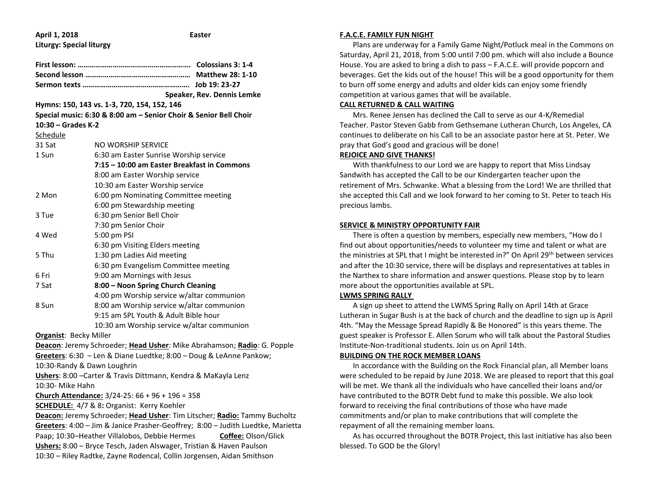| April 1, 2018                                                                                                                                                | <b>Easter</b>                                                    |  |  |  |
|--------------------------------------------------------------------------------------------------------------------------------------------------------------|------------------------------------------------------------------|--|--|--|
| <b>Liturgy: Special liturgy</b>                                                                                                                              |                                                                  |  |  |  |
|                                                                                                                                                              |                                                                  |  |  |  |
|                                                                                                                                                              |                                                                  |  |  |  |
|                                                                                                                                                              |                                                                  |  |  |  |
|                                                                                                                                                              |                                                                  |  |  |  |
|                                                                                                                                                              | Speaker, Rev. Dennis Lemke                                       |  |  |  |
| Hymns: 150, 143 vs. 1-3, 720, 154, 152, 146                                                                                                                  |                                                                  |  |  |  |
|                                                                                                                                                              | Special music: 6:30 & 8:00 am - Senior Choir & Senior Bell Choir |  |  |  |
| 10:30 - Grades K-2                                                                                                                                           |                                                                  |  |  |  |
| Schedule                                                                                                                                                     |                                                                  |  |  |  |
| 31 Sat                                                                                                                                                       | NO WORSHIP SERVICE                                               |  |  |  |
| 1 Sun                                                                                                                                                        | 6:30 am Easter Sunrise Worship service                           |  |  |  |
|                                                                                                                                                              | 7:15 - 10:00 am Easter Breakfast in Commons                      |  |  |  |
|                                                                                                                                                              | 8:00 am Easter Worship service                                   |  |  |  |
|                                                                                                                                                              | 10:30 am Easter Worship service                                  |  |  |  |
| 2 Mon                                                                                                                                                        | 6:00 pm Nominating Committee meeting                             |  |  |  |
|                                                                                                                                                              | 6:00 pm Stewardship meeting                                      |  |  |  |
| 3 Tue                                                                                                                                                        | 6:30 pm Senior Bell Choir                                        |  |  |  |
|                                                                                                                                                              | 7:30 pm Senior Choir                                             |  |  |  |
| 4 Wed                                                                                                                                                        | 5:00 pm PSI                                                      |  |  |  |
|                                                                                                                                                              | 6:30 pm Visiting Elders meeting                                  |  |  |  |
| 5 Thu                                                                                                                                                        | 1:30 pm Ladies Aid meeting                                       |  |  |  |
|                                                                                                                                                              | 6:30 pm Evangelism Committee meeting                             |  |  |  |
| 6 Fri                                                                                                                                                        | 9:00 am Mornings with Jesus                                      |  |  |  |
| 7 Sat                                                                                                                                                        | 8:00 - Noon Spring Church Cleaning                               |  |  |  |
|                                                                                                                                                              | 4:00 pm Worship service w/altar communion                        |  |  |  |
| 8 Sun                                                                                                                                                        | 8:00 am Worship service w/altar communion                        |  |  |  |
|                                                                                                                                                              | 9:15 am SPL Youth & Adult Bible hour                             |  |  |  |
|                                                                                                                                                              | 10:30 am Worship service w/altar communion                       |  |  |  |
| <b>Organist: Becky Miller</b>                                                                                                                                |                                                                  |  |  |  |
| Deacon: Jeremy Schroeder; Head Usher: Mike Abrahamson; Radio: G. Popple                                                                                      |                                                                  |  |  |  |
| Greeters: 6:30 - Len & Diane Luedtke; 8:00 - Doug & LeAnne Pankow;<br>10:30-Randy & Dawn Loughrin                                                            |                                                                  |  |  |  |
|                                                                                                                                                              |                                                                  |  |  |  |
|                                                                                                                                                              | Ushers: 8:00 - Carter & Travis Dittmann, Kendra & MaKayla Lenz   |  |  |  |
| 10:30- Mike Hahn                                                                                                                                             |                                                                  |  |  |  |
|                                                                                                                                                              | Church Attendance: 3/24-25: 66 + 96 + 196 = 358                  |  |  |  |
|                                                                                                                                                              | <b>SCHEDULE:</b> 4/7 & 8: Organist: Kerry Koehler                |  |  |  |
| Deacon: Jeremy Schroeder; Head Usher: Tim Litscher; Radio: Tammy Bucholtz<br>Greeters: 4:00 - Jim & Janice Prasher-Geoffrey; 8:00 - Judith Luedtke, Marietta |                                                                  |  |  |  |
| Paap; 10:30-Heather Villalobos, Debbie Hermes<br>Coffee: Olson/Glick                                                                                         |                                                                  |  |  |  |
| Ushers: 8:00 - Bryce Tesch, Jaden Alswager, Tristian & Haven Paulson                                                                                         |                                                                  |  |  |  |
| 10:30 - Riley Radtke, Zayne Rodencal, Collin Jorgensen, Aidan Smithson                                                                                       |                                                                  |  |  |  |
|                                                                                                                                                              |                                                                  |  |  |  |
|                                                                                                                                                              |                                                                  |  |  |  |

#### **F.A.C.E. FAMILY FUN NIGHT**

 Plans are underway for a Family Game Night/Potluck meal in the Commons on Saturday, April 21, 2018, from 5:00 until 7:00 pm. which will also include a Bounce House. You are asked to bring a dish to pass – F.A.C.E. will provide popcorn and beverages. Get the kids out of the house! This will be a good opportunity for them to burn off some energy and adults and older kids can enjoy some friendly competition at various games that will be available.

# **CALL RETURNED & CALL WAITING**

 Mrs. Renee Jensen has declined the Call to serve as our 4-K/Remedial Teacher. Pastor Steven Gabb from Gethsemane Lutheran Church, Los Angeles, CA continues to deliberate on his Call to be an associate pastor here at St. Peter. We pray that God's good and gracious will be done!

#### **REJOICE AND GIVE THANKS!**

 With thankfulness to our Lord we are happy to report that Miss Lindsay Sandwith has accepted the Call to be our Kindergarten teacher upon the retirement of Mrs. Schwanke. What a blessing from the Lord! We are thrilled that she accepted this Call and we look forward to her coming to St. Peter to teach His precious lambs.

#### **SERVICE & MINISTRY OPPORTUNITY FAIR**

 There is often a question by members, especially new members, "How do I find out about opportunities/needs to volunteer my time and talent or what are the ministries at SPL that I might be interested in?" On April 29<sup>th</sup> between services and after the 10:30 service, there will be displays and representatives at tables in the Narthex to share information and answer questions. Please stop by to learn more about the opportunities available at SPL.

# **LWMS SPRING RALLY**

 A sign up sheet to attend the LWMS Spring Rally on April 14th at Grace Lutheran in Sugar Bush is at the back of church and the deadline to sign up is April 4th. "May the Message Spread Rapidly & Be Honored" is this years theme. The guest speaker is Professor E. Allen Sorum who will talk about the Pastoral Studies Institute-Non-traditional students. Join us on April 14th.

# **BUILDING ON THE ROCK MEMBER LOANS**

 In accordance with the Building on the Rock Financial plan, all Member loans were scheduled to be repaid by June 2018. We are pleased to report that this goal will be met. We thank all the individuals who have cancelled their loans and/or have contributed to the BOTR Debt fund to make this possible. We also look forward to receiving the final contributions of those who have made commitments and/or plan to make contributions that will complete the repayment of all the remaining member loans.

 As has occurred throughout the BOTR Project, this last initiative has also been blessed. To GOD be the Glory!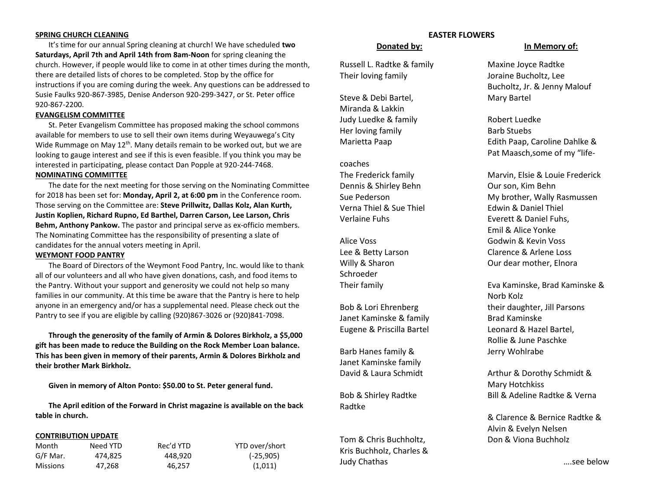### **SPRING CHURCH CLEANING**

 It's time for our annual Spring cleaning at church! We have scheduled **two Saturdays, April 7th and April 14th from 8am-Noon** for spring cleaning the church. However, if people would like to come in at other times during the month, there are detailed lists of chores to be completed. Stop by the office for instructions if you are coming during the week. Any questions can be addressed to Susie Faulks 920-867-3985, Denise Anderson 920-299-3427, or St. Peter office 920-867-2200.

# **EVANGELISM COMMITTEE**

 St. Peter Evangelism Committee has proposed making the school commons available for members to use to sell their own items during Weyauwega's City Wide Rummage on May 12<sup>th</sup>. Many details remain to be worked out, but we are looking to gauge interest and see if this is even feasible. If you think you may be interested in participating, please contact Dan Popple at 920-244-7468.

# **NOMINATING COMMITTEE**

 The date for the next meeting for those serving on the Nominating Committee for 2018 has been set for: **Monday, April 2, at 6:00 pm** in the Conference room. Those serving on the Committee are: **Steve Prillwitz, Dallas Kolz, Alan Kurth, Justin Koplien, Richard Rupno, Ed Barthel, Darren Carson, Lee Larson, Chris Behm, Anthony Pankow.** The pastor and principal serve as ex-officio members. The Nominating Committee has the responsibility of presenting a slate of candidates for the annual voters meeting in April.

#### **WEYMONT FOOD PANTRY**

 The Board of Directors of the Weymont Food Pantry, Inc. would like to thank all of our volunteers and all who have given donations, cash, and food items to the Pantry. Without your support and generosity we could not help so many families in our community. At this time be aware that the Pantry is here to help anyone in an emergency and/or has a supplemental need. Please check out the Pantry to see if you are eligible by calling (920)867-3026 or (920)841-7098.

 **Through the generosity of the family of Armin & Dolores Birkholz, a \$5,000 gift has been made to reduce the Building on the Rock Member Loan balance. This has been given in memory of their parents, Armin & Dolores Birkholz and their brother Mark Birkholz.**

 **Given in memory of Alton Ponto: \$50.00 to St. Peter general fund.**

 **The April edition of the Forward in Christ magazine is available on the back table in church.** 

#### **CONTRIBUTION UPDATE**

| Month    | Need YTD | Rec'd YTD | YTD over/short |
|----------|----------|-----------|----------------|
| G/F Mar. | 474.825  | 448.920   | $(-25,905)$    |
| Missions | 47.268   | 46.257    | (1,011)        |

# **EASTER FLOWERS**

Russell L. Radtke & family Maxine Joyce Radtke Their loving family Joraine Bucholtz, Lee

Steve & Debi Bartel, Mary Bartel Miranda & Lakkin Judy Luedke & family **Robert Luedke** Her loving family **Barb Stuebs** 

coaches Dennis & Shirley Behn **Our son, Kim Behn** Verna Thiel & Sue Thiel **Edwin & Daniel Thiel** Verlaine Fuhs **Exercit & Daniel Fuhs**,

Schroeder

Janet Kaminske & family Brad Kaminske Eugene & Priscilla Bartel **Leonard & Hazel Bartel**,

Barb Hanes family & Jerry Wohlrabe Janet Kaminske family

Radtke

Tom & Chris Buchholtz, Don & Viona Buchholz Kris Buchholz, Charles & Judy Chathas ….see below

#### **Donated by: In Memory of:**

Bucholtz, Jr. & Jenny Malouf

Marietta Paap Edith Paap, Caroline Dahlke & Pat Maasch,some of my "life-

The Frederick family Marvin, Elsie & Louie Frederick Sue Pederson **My brother**, Wally Rasmussen Emil & Alice Yonke Alice Voss Godwin & Kevin Voss Lee & Betty Larson Clarence & Arlene Loss Willy & Sharon **Our dear mother**, Elnora

Their family Eva Kaminske, Brad Kaminske & Norb Kolz Bob & Lori Ehrenberg their daughter, Jill Parsons Rollie & June Paschke

David & Laura Schmidt Arthur & Dorothy Schmidt & Mary Hotchkiss Bob & Shirley Radtke Bill & Adeline Radtke & Verna

> & Clarence & Bernice Radtke & Alvin & Evelyn Nelsen